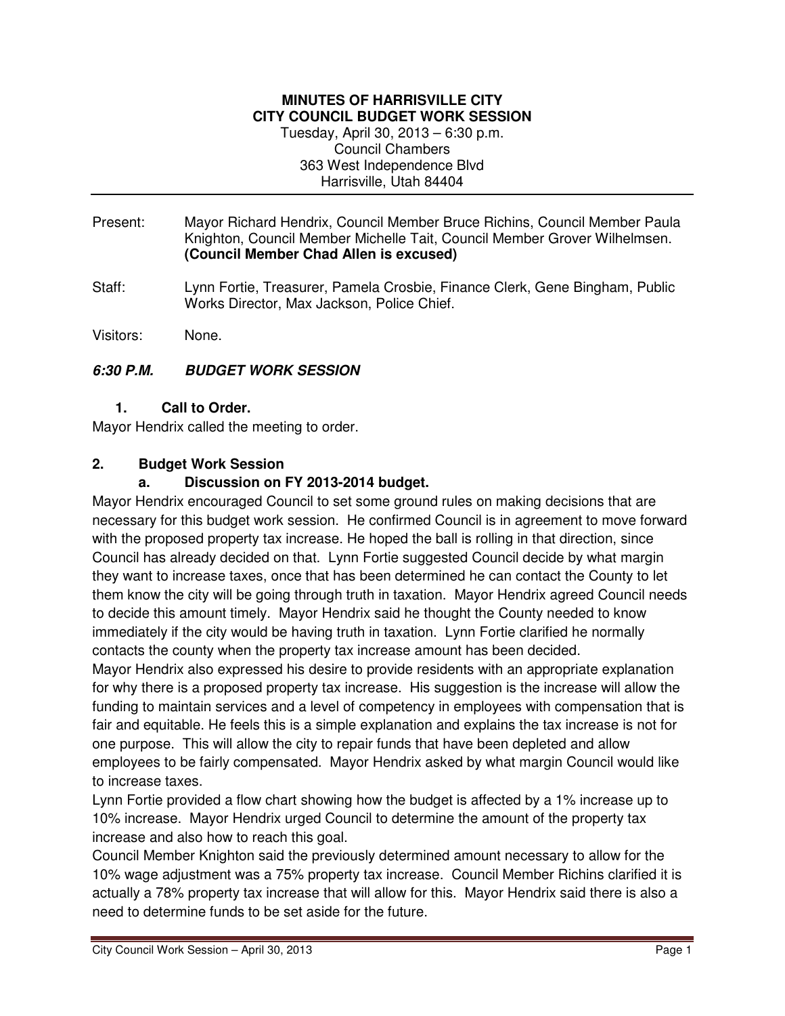#### **MINUTES OF HARRISVILLE CITY CITY COUNCIL BUDGET WORK SESSION**  Tuesday, April 30, 2013 – 6:30 p.m. Council Chambers 363 West Independence Blvd Harrisville, Utah 84404

- Present: Mayor Richard Hendrix, Council Member Bruce Richins, Council Member Paula Knighton, Council Member Michelle Tait, Council Member Grover Wilhelmsen. **(Council Member Chad Allen is excused)**
- Staff: Lynn Fortie, Treasurer, Pamela Crosbie, Finance Clerk, Gene Bingham, Public Works Director, Max Jackson, Police Chief.

Visitors: None.

### **6:30 P.M. BUDGET WORK SESSION**

**1. Call to Order.** 

Mayor Hendrix called the meeting to order.

### **2. Budget Work Session**

### **a. Discussion on FY 2013-2014 budget.**

Mayor Hendrix encouraged Council to set some ground rules on making decisions that are necessary for this budget work session. He confirmed Council is in agreement to move forward with the proposed property tax increase. He hoped the ball is rolling in that direction, since Council has already decided on that. Lynn Fortie suggested Council decide by what margin they want to increase taxes, once that has been determined he can contact the County to let them know the city will be going through truth in taxation. Mayor Hendrix agreed Council needs to decide this amount timely. Mayor Hendrix said he thought the County needed to know immediately if the city would be having truth in taxation. Lynn Fortie clarified he normally contacts the county when the property tax increase amount has been decided.

Mayor Hendrix also expressed his desire to provide residents with an appropriate explanation for why there is a proposed property tax increase. His suggestion is the increase will allow the funding to maintain services and a level of competency in employees with compensation that is fair and equitable. He feels this is a simple explanation and explains the tax increase is not for one purpose. This will allow the city to repair funds that have been depleted and allow employees to be fairly compensated. Mayor Hendrix asked by what margin Council would like to increase taxes.

Lynn Fortie provided a flow chart showing how the budget is affected by a 1% increase up to 10% increase. Mayor Hendrix urged Council to determine the amount of the property tax increase and also how to reach this goal.

Council Member Knighton said the previously determined amount necessary to allow for the 10% wage adjustment was a 75% property tax increase. Council Member Richins clarified it is actually a 78% property tax increase that will allow for this. Mayor Hendrix said there is also a need to determine funds to be set aside for the future.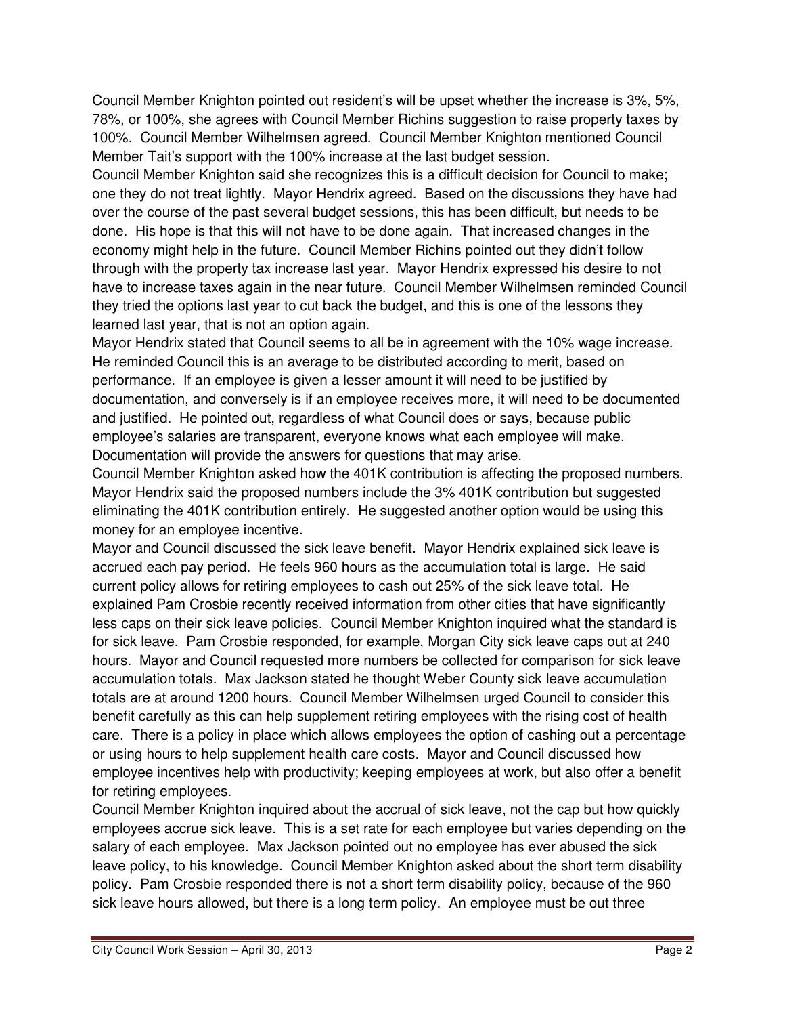Council Member Knighton pointed out resident's will be upset whether the increase is 3%, 5%, 78%, or 100%, she agrees with Council Member Richins suggestion to raise property taxes by 100%. Council Member Wilhelmsen agreed. Council Member Knighton mentioned Council Member Tait's support with the 100% increase at the last budget session.

Council Member Knighton said she recognizes this is a difficult decision for Council to make; one they do not treat lightly. Mayor Hendrix agreed. Based on the discussions they have had over the course of the past several budget sessions, this has been difficult, but needs to be done. His hope is that this will not have to be done again. That increased changes in the economy might help in the future. Council Member Richins pointed out they didn't follow through with the property tax increase last year. Mayor Hendrix expressed his desire to not have to increase taxes again in the near future. Council Member Wilhelmsen reminded Council they tried the options last year to cut back the budget, and this is one of the lessons they learned last year, that is not an option again.

Mayor Hendrix stated that Council seems to all be in agreement with the 10% wage increase. He reminded Council this is an average to be distributed according to merit, based on performance. If an employee is given a lesser amount it will need to be justified by documentation, and conversely is if an employee receives more, it will need to be documented and justified. He pointed out, regardless of what Council does or says, because public employee's salaries are transparent, everyone knows what each employee will make. Documentation will provide the answers for questions that may arise.

Council Member Knighton asked how the 401K contribution is affecting the proposed numbers. Mayor Hendrix said the proposed numbers include the 3% 401K contribution but suggested eliminating the 401K contribution entirely. He suggested another option would be using this money for an employee incentive.

Mayor and Council discussed the sick leave benefit. Mayor Hendrix explained sick leave is accrued each pay period. He feels 960 hours as the accumulation total is large. He said current policy allows for retiring employees to cash out 25% of the sick leave total. He explained Pam Crosbie recently received information from other cities that have significantly less caps on their sick leave policies. Council Member Knighton inquired what the standard is for sick leave. Pam Crosbie responded, for example, Morgan City sick leave caps out at 240 hours. Mayor and Council requested more numbers be collected for comparison for sick leave accumulation totals. Max Jackson stated he thought Weber County sick leave accumulation totals are at around 1200 hours. Council Member Wilhelmsen urged Council to consider this benefit carefully as this can help supplement retiring employees with the rising cost of health care. There is a policy in place which allows employees the option of cashing out a percentage or using hours to help supplement health care costs. Mayor and Council discussed how employee incentives help with productivity; keeping employees at work, but also offer a benefit for retiring employees.

Council Member Knighton inquired about the accrual of sick leave, not the cap but how quickly employees accrue sick leave. This is a set rate for each employee but varies depending on the salary of each employee. Max Jackson pointed out no employee has ever abused the sick leave policy, to his knowledge. Council Member Knighton asked about the short term disability policy. Pam Crosbie responded there is not a short term disability policy, because of the 960 sick leave hours allowed, but there is a long term policy. An employee must be out three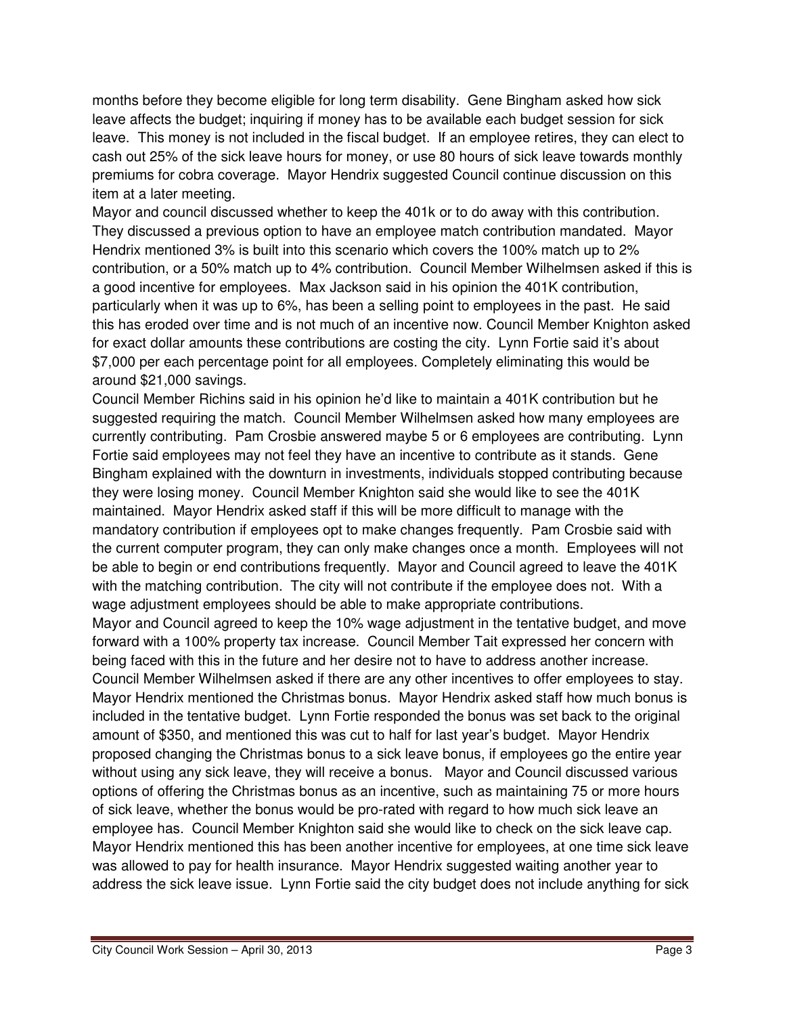months before they become eligible for long term disability. Gene Bingham asked how sick leave affects the budget; inquiring if money has to be available each budget session for sick leave. This money is not included in the fiscal budget. If an employee retires, they can elect to cash out 25% of the sick leave hours for money, or use 80 hours of sick leave towards monthly premiums for cobra coverage. Mayor Hendrix suggested Council continue discussion on this item at a later meeting.

Mayor and council discussed whether to keep the 401k or to do away with this contribution. They discussed a previous option to have an employee match contribution mandated. Mayor Hendrix mentioned 3% is built into this scenario which covers the 100% match up to 2% contribution, or a 50% match up to 4% contribution. Council Member Wilhelmsen asked if this is a good incentive for employees. Max Jackson said in his opinion the 401K contribution, particularly when it was up to 6%, has been a selling point to employees in the past. He said this has eroded over time and is not much of an incentive now. Council Member Knighton asked for exact dollar amounts these contributions are costing the city. Lynn Fortie said it's about \$7,000 per each percentage point for all employees. Completely eliminating this would be around \$21,000 savings.

Council Member Richins said in his opinion he'd like to maintain a 401K contribution but he suggested requiring the match. Council Member Wilhelmsen asked how many employees are currently contributing. Pam Crosbie answered maybe 5 or 6 employees are contributing. Lynn Fortie said employees may not feel they have an incentive to contribute as it stands. Gene Bingham explained with the downturn in investments, individuals stopped contributing because they were losing money. Council Member Knighton said she would like to see the 401K maintained. Mayor Hendrix asked staff if this will be more difficult to manage with the mandatory contribution if employees opt to make changes frequently. Pam Crosbie said with the current computer program, they can only make changes once a month. Employees will not be able to begin or end contributions frequently. Mayor and Council agreed to leave the 401K with the matching contribution. The city will not contribute if the employee does not. With a wage adjustment employees should be able to make appropriate contributions.

Mayor and Council agreed to keep the 10% wage adjustment in the tentative budget, and move forward with a 100% property tax increase. Council Member Tait expressed her concern with being faced with this in the future and her desire not to have to address another increase. Council Member Wilhelmsen asked if there are any other incentives to offer employees to stay. Mayor Hendrix mentioned the Christmas bonus. Mayor Hendrix asked staff how much bonus is included in the tentative budget. Lynn Fortie responded the bonus was set back to the original amount of \$350, and mentioned this was cut to half for last year's budget. Mayor Hendrix proposed changing the Christmas bonus to a sick leave bonus, if employees go the entire year without using any sick leave, they will receive a bonus. Mayor and Council discussed various options of offering the Christmas bonus as an incentive, such as maintaining 75 or more hours of sick leave, whether the bonus would be pro-rated with regard to how much sick leave an employee has. Council Member Knighton said she would like to check on the sick leave cap. Mayor Hendrix mentioned this has been another incentive for employees, at one time sick leave was allowed to pay for health insurance. Mayor Hendrix suggested waiting another year to address the sick leave issue. Lynn Fortie said the city budget does not include anything for sick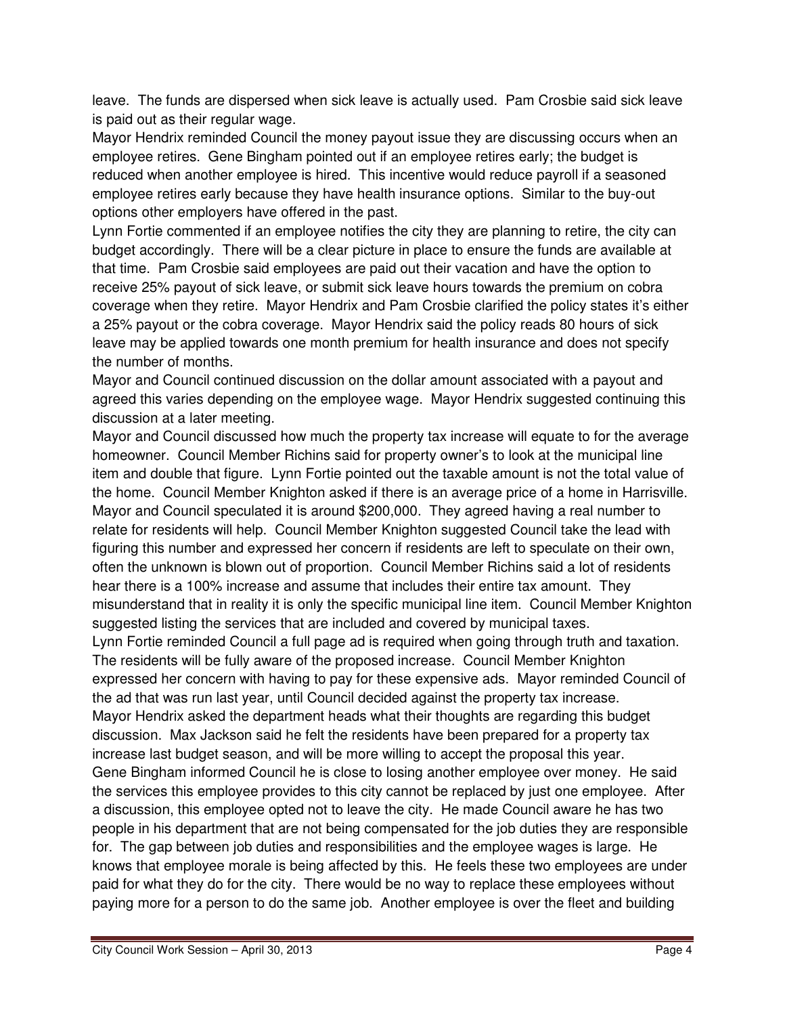leave. The funds are dispersed when sick leave is actually used. Pam Crosbie said sick leave is paid out as their regular wage.

Mayor Hendrix reminded Council the money payout issue they are discussing occurs when an employee retires. Gene Bingham pointed out if an employee retires early; the budget is reduced when another employee is hired. This incentive would reduce payroll if a seasoned employee retires early because they have health insurance options. Similar to the buy-out options other employers have offered in the past.

Lynn Fortie commented if an employee notifies the city they are planning to retire, the city can budget accordingly. There will be a clear picture in place to ensure the funds are available at that time. Pam Crosbie said employees are paid out their vacation and have the option to receive 25% payout of sick leave, or submit sick leave hours towards the premium on cobra coverage when they retire. Mayor Hendrix and Pam Crosbie clarified the policy states it's either a 25% payout or the cobra coverage. Mayor Hendrix said the policy reads 80 hours of sick leave may be applied towards one month premium for health insurance and does not specify the number of months.

Mayor and Council continued discussion on the dollar amount associated with a payout and agreed this varies depending on the employee wage. Mayor Hendrix suggested continuing this discussion at a later meeting.

Mayor and Council discussed how much the property tax increase will equate to for the average homeowner. Council Member Richins said for property owner's to look at the municipal line item and double that figure. Lynn Fortie pointed out the taxable amount is not the total value of the home. Council Member Knighton asked if there is an average price of a home in Harrisville. Mayor and Council speculated it is around \$200,000. They agreed having a real number to relate for residents will help. Council Member Knighton suggested Council take the lead with figuring this number and expressed her concern if residents are left to speculate on their own, often the unknown is blown out of proportion. Council Member Richins said a lot of residents hear there is a 100% increase and assume that includes their entire tax amount. They misunderstand that in reality it is only the specific municipal line item. Council Member Knighton suggested listing the services that are included and covered by municipal taxes. Lynn Fortie reminded Council a full page ad is required when going through truth and taxation. The residents will be fully aware of the proposed increase. Council Member Knighton expressed her concern with having to pay for these expensive ads. Mayor reminded Council of the ad that was run last year, until Council decided against the property tax increase. Mayor Hendrix asked the department heads what their thoughts are regarding this budget discussion. Max Jackson said he felt the residents have been prepared for a property tax increase last budget season, and will be more willing to accept the proposal this year. Gene Bingham informed Council he is close to losing another employee over money. He said the services this employee provides to this city cannot be replaced by just one employee. After a discussion, this employee opted not to leave the city. He made Council aware he has two people in his department that are not being compensated for the job duties they are responsible for. The gap between job duties and responsibilities and the employee wages is large. He knows that employee morale is being affected by this. He feels these two employees are under paid for what they do for the city. There would be no way to replace these employees without paying more for a person to do the same job. Another employee is over the fleet and building